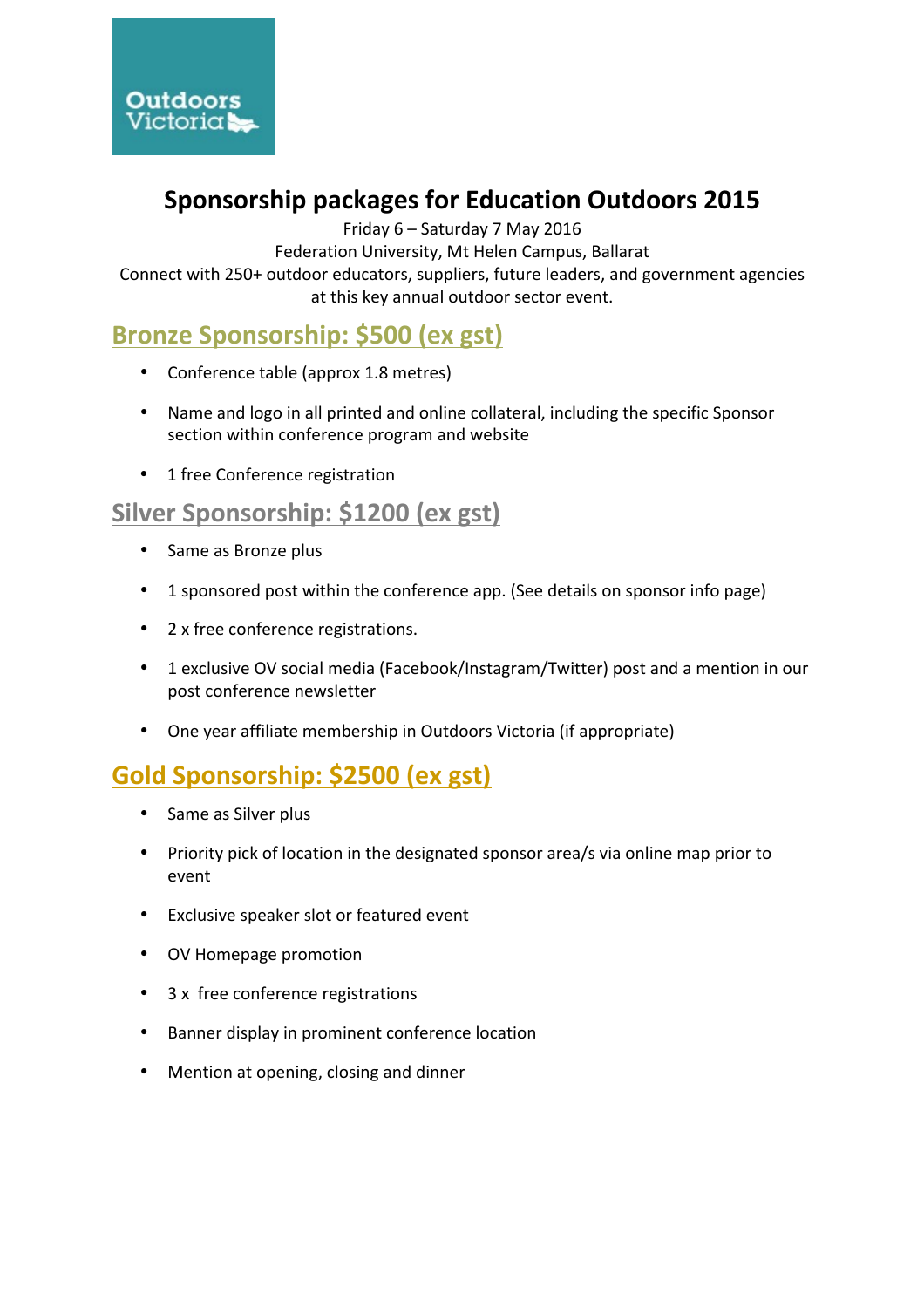

# **Sponsorship packages for Education Outdoors 2015**

Friday 6 - Saturday 7 May 2016

Federation University, Mt Helen Campus, Ballarat

Connect with 250+ outdoor educators, suppliers, future leaders, and government agencies at this key annual outdoor sector event.

# **Bronze Sponsorship: \$500 (ex gst)**

- Conference table (approx 1.8 metres)
- Name and logo in all printed and online collateral, including the specific Sponsor section within conference program and website
- 1 free Conference registration

### Silver Sponsorship: \$1200 (ex gst)

- Same as Bronze plus
- 1 sponsored post within the conference app. (See details on sponsor info page)
- 2 x free conference registrations.
- 1 exclusive OV social media (Facebook/Instagram/Twitter) post and a mention in our post conference newsletter
- One year affiliate membership in Outdoors Victoria (if appropriate)

# **Gold Sponsorship: \$2500 (ex gst)**

- Same as Silver plus
- Priority pick of location in the designated sponsor area/s via online map prior to event
- Exclusive speaker slot or featured event
- OV Homepage promotion
- 3 x free conference registrations
- Banner display in prominent conference location
- Mention at opening, closing and dinner